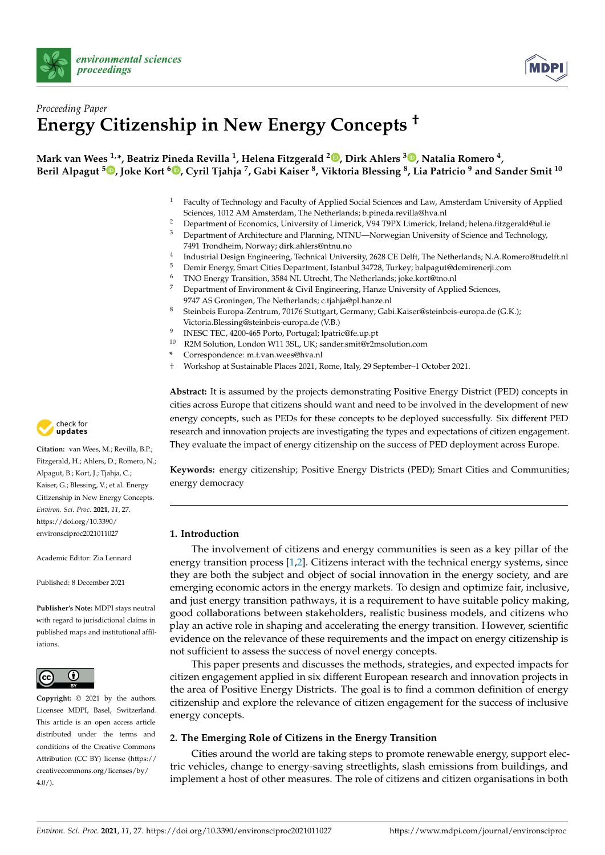



# *Proceeding Paper* **Energy Citizenship in New Energy Concepts †**

# **Mark van Wees 1,\*, Beatriz Pineda Revilla <sup>1</sup> , Helena Fitzgerald <sup>2</sup> [,](https://orcid.org/0000-0003-2133-5005) Dirk Ahlers <sup>3</sup> [,](https://orcid.org/0000-0002-6508-8184) Natalia Romero <sup>4</sup> ,** Beril Alpagut <sup>5</sup>®[,](https://orcid.org/0000-0002-5284-7313) Joke Kort <sup>6</sup>®, Cyril Tjahja <sup>7</sup>, Gabi Kaiser <sup>8</sup>, Viktoria Blessing <sup>8</sup>, Lia Patricio <sup>9</sup> and Sander Smit <sup>10</sup>

- <sup>1</sup> Faculty of Technology and Faculty of Applied Social Sciences and Law, Amsterdam University of Applied Sciences, 1012 AM Amsterdam, The Netherlands; b.pineda.revilla@hva.nl
- <sup>2</sup> Department of Economics, University of Limerick, V94 T9PX Limerick, Ireland; helena.fitzgerald@ul.ie
- <sup>3</sup> Department of Architecture and Planning, NTNU—Norwegian University of Science and Technology, 7491 Trondheim, Norway; dirk.ahlers@ntnu.no
- 4 Industrial Design Engineering, Technical University, 2628 CE Delft, The Netherlands; N.A.Romero@tudelft.nl

**Abstract:** It is assumed by the projects demonstrating Positive Energy District (PED) concepts in

- <sup>5</sup> Demir Energy, Smart Cities Department, Istanbul 34728, Turkey; balpagut@demirenerji.com
- <sup>6</sup> TNO Energy Transition, 3584 NL Utrecht, The Netherlands; joke.kort@tno.nl
- <sup>7</sup> Department of Environment & Civil Engineering, Hanze University of Applied Sciences, 9747 AS Groningen, The Netherlands; c.tjahja@pl.hanze.nl
- <sup>8</sup> Steinbeis Europa-Zentrum, 70176 Stuttgart, Germany; Gabi.Kaiser@steinbeis-europa.de (G.K.); Victoria.Blessing@steinbeis-europa.de (V.B.)
- 9 INESC TEC, 4200-465 Porto, Portugal; lpatric@fe.up.pt
- <sup>10</sup> R2M Solution, London W11 3SL, UK; sander.smit@r2msolution.com
- **\*** Correspondence: m.t.van.wees@hva.nl
- † Workshop at Sustainable Places 2021, Rome, Italy, 29 September–1 October 2021.



**Citation:** van Wees, M.; Revilla, B.P.; cities across Europe that citizens should want and need to be involved in the development of new energy concepts, such as PEDs for these concepts to be deployed successfully. Six different PED research and innovation projects are investigating the types and expectations of citizen engagement. They evaluate the impact of energy citizenship on the success of PED deployment across Europe. **Keywords:** energy citizenship; Positive Energy Districts (PED); Smart Cities and Communities; energy democracy

# **1. Introduction**

The involvement of citizens and energy communities is seen as a key pillar of the energy transition process [\[1](#page-3-0)[,2\]](#page-3-1). Citizens interact with the technical energy systems, since they are both the subject and object of social innovation in the energy society, and are emerging economic actors in the energy markets. To design and optimize fair, inclusive, and just energy transition pathways, it is a requirement to have suitable policy making, good collaborations between stakeholders, realistic business models, and citizens who play an active role in shaping and accelerating the energy transition. However, scientific evidence on the relevance of these requirements and the impact on energy citizenship is not sufficient to assess the success of novel energy concepts.

This paper presents and discusses the methods, strategies, and expected impacts for citizen engagement applied in six different European research and innovation projects in the area of Positive Energy Districts. The goal is to find a common definition of energy citizenship and explore the relevance of citizen engagement for the success of inclusive energy concepts.

# **2. The Emerging Role of Citizens in the Energy Transition**

Cities around the world are taking steps to promote renewable energy, support electric vehicles, change to energy-saving streetlights, slash emissions from buildings, and implement a host of other measures. The role of citizens and citizen organisations in both

Fitzgerald, H.; Ahlers, D.; Romero, N.; Alpagut, B.; Kort, J.; Tjahja, C.; Kaiser, G.; Blessing, V.; et al. Energy Citizenship in New Energy Concepts. *Environ. Sci. Proc.* **2021**, *11*, 27. [https://doi.org/10.3390/](https://doi.org/10.3390/environsciproc2021011027) [environsciproc2021011027](https://doi.org/10.3390/environsciproc2021011027)

Academic Editor: Zia Lennard

Published: 8 December 2021

**Publisher's Note:** MDPI stays neutral with regard to jurisdictional claims in published maps and institutional affiliations.



**Copyright:** © 2021 by the authors. Licensee MDPI, Basel, Switzerland. This article is an open access article distributed under the terms and conditions of the Creative Commons Attribution (CC BY) license (https:/[/](https://creativecommons.org/licenses/by/4.0/) [creativecommons.org/licenses/by/](https://creativecommons.org/licenses/by/4.0/)  $4.0/$ ).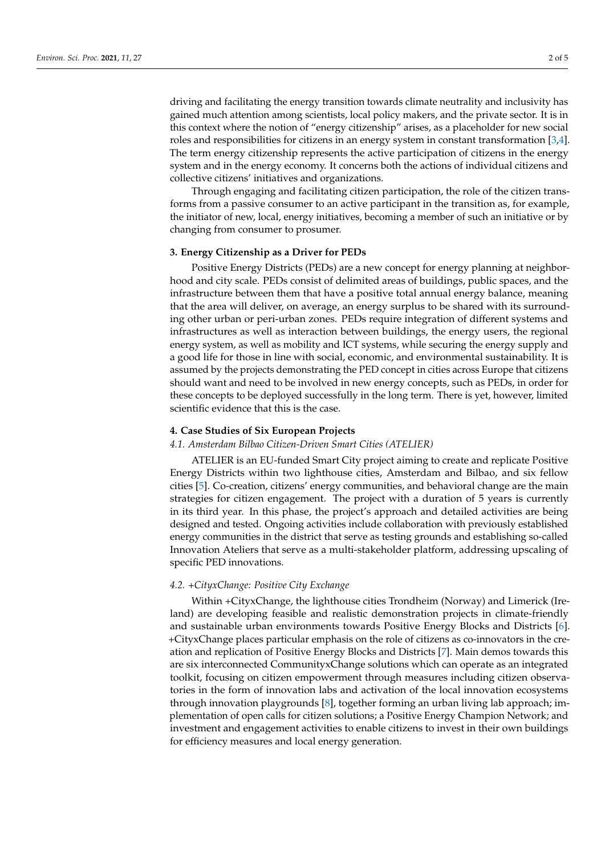driving and facilitating the energy transition towards climate neutrality and inclusivity has gained much attention among scientists, local policy makers, and the private sector. It is in this context where the notion of "energy citizenship" arises, as a placeholder for new social roles and responsibilities for citizens in an energy system in constant transformation [\[3,](#page-3-2)[4\]](#page-3-3). The term energy citizenship represents the active participation of citizens in the energy system and in the energy economy. It concerns both the actions of individual citizens and collective citizens' initiatives and organizations.

Through engaging and facilitating citizen participation, the role of the citizen transforms from a passive consumer to an active participant in the transition as, for example, the initiator of new, local, energy initiatives, becoming a member of such an initiative or by changing from consumer to prosumer.

#### **3. Energy Citizenship as a Driver for PEDs**

Positive Energy Districts (PEDs) are a new concept for energy planning at neighborhood and city scale. PEDs consist of delimited areas of buildings, public spaces, and the infrastructure between them that have a positive total annual energy balance, meaning that the area will deliver, on average, an energy surplus to be shared with its surrounding other urban or peri-urban zones. PEDs require integration of different systems and infrastructures as well as interaction between buildings, the energy users, the regional energy system, as well as mobility and ICT systems, while securing the energy supply and a good life for those in line with social, economic, and environmental sustainability. It is assumed by the projects demonstrating the PED concept in cities across Europe that citizens should want and need to be involved in new energy concepts, such as PEDs, in order for these concepts to be deployed successfully in the long term. There is yet, however, limited scientific evidence that this is the case.

## **4. Case Studies of Six European Projects**

# *4.1. Amsterdam Bilbao Citizen-Driven Smart Cities (ATELIER)*

ATELIER is an EU-funded Smart City project aiming to create and replicate Positive Energy Districts within two lighthouse cities, Amsterdam and Bilbao, and six fellow cities [\[5\]](#page-3-4). Co-creation, citizens' energy communities, and behavioral change are the main strategies for citizen engagement. The project with a duration of 5 years is currently in its third year. In this phase, the project's approach and detailed activities are being designed and tested. Ongoing activities include collaboration with previously established energy communities in the district that serve as testing grounds and establishing so-called Innovation Ateliers that serve as a multi-stakeholder platform, addressing upscaling of specific PED innovations.

#### *4.2. +CityxChange: Positive City Exchange*

Within +CityxChange, the lighthouse cities Trondheim (Norway) and Limerick (Ireland) are developing feasible and realistic demonstration projects in climate-friendly and sustainable urban environments towards Positive Energy Blocks and Districts [\[6\]](#page-3-5). +CityxChange places particular emphasis on the role of citizens as co-innovators in the creation and replication of Positive Energy Blocks and Districts [\[7\]](#page-4-0). Main demos towards this are six interconnected CommunityxChange solutions which can operate as an integrated toolkit, focusing on citizen empowerment through measures including citizen observatories in the form of innovation labs and activation of the local innovation ecosystems through innovation playgrounds [\[8\]](#page-4-1), together forming an urban living lab approach; implementation of open calls for citizen solutions; a Positive Energy Champion Network; and investment and engagement activities to enable citizens to invest in their own buildings for efficiency measures and local energy generation.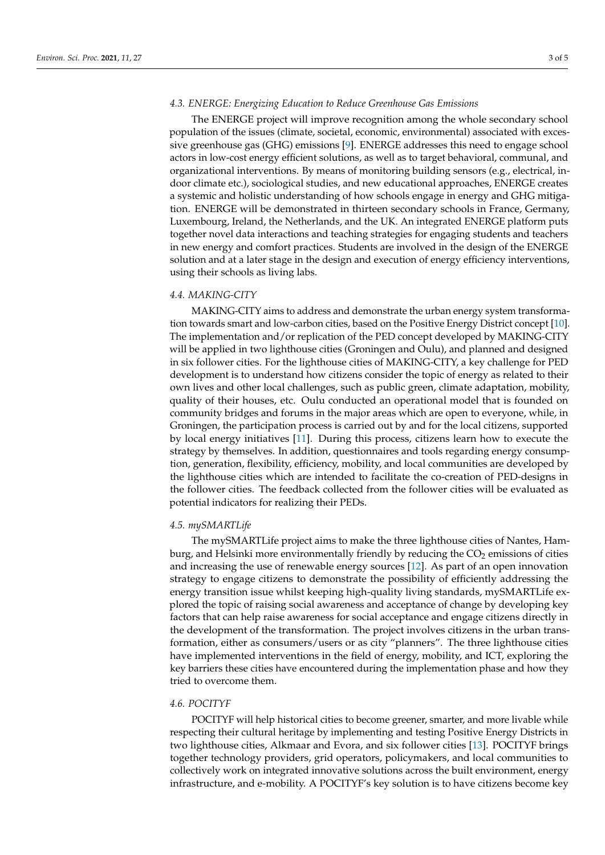#### *4.3. ENERGE: Energizing Education to Reduce Greenhouse Gas Emissions*

The ENERGE project will improve recognition among the whole secondary school population of the issues (climate, societal, economic, environmental) associated with excessive greenhouse gas (GHG) emissions [\[9\]](#page-4-2). ENERGE addresses this need to engage school actors in low-cost energy efficient solutions, as well as to target behavioral, communal, and organizational interventions. By means of monitoring building sensors (e.g., electrical, indoor climate etc.), sociological studies, and new educational approaches, ENERGE creates a systemic and holistic understanding of how schools engage in energy and GHG mitigation. ENERGE will be demonstrated in thirteen secondary schools in France, Germany, Luxembourg, Ireland, the Netherlands, and the UK. An integrated ENERGE platform puts together novel data interactions and teaching strategies for engaging students and teachers in new energy and comfort practices. Students are involved in the design of the ENERGE solution and at a later stage in the design and execution of energy efficiency interventions, using their schools as living labs.

#### *4.4. MAKING-CITY*

MAKING-CITY aims to address and demonstrate the urban energy system transformation towards smart and low-carbon cities, based on the Positive Energy District concept [\[10\]](#page-4-3). The implementation and/or replication of the PED concept developed by MAKING-CITY will be applied in two lighthouse cities (Groningen and Oulu), and planned and designed in six follower cities. For the lighthouse cities of MAKING-CITY, a key challenge for PED development is to understand how citizens consider the topic of energy as related to their own lives and other local challenges, such as public green, climate adaptation, mobility, quality of their houses, etc. Oulu conducted an operational model that is founded on community bridges and forums in the major areas which are open to everyone, while, in Groningen, the participation process is carried out by and for the local citizens, supported by local energy initiatives [\[11\]](#page-4-4). During this process, citizens learn how to execute the strategy by themselves. In addition, questionnaires and tools regarding energy consumption, generation, flexibility, efficiency, mobility, and local communities are developed by the lighthouse cities which are intended to facilitate the co-creation of PED-designs in the follower cities. The feedback collected from the follower cities will be evaluated as potential indicators for realizing their PEDs.

#### *4.5. mySMARTLife*

The mySMARTLife project aims to make the three lighthouse cities of Nantes, Hamburg, and Helsinki more environmentally friendly by reducing the  $CO<sub>2</sub>$  emissions of cities and increasing the use of renewable energy sources [\[12\]](#page-4-5). As part of an open innovation strategy to engage citizens to demonstrate the possibility of efficiently addressing the energy transition issue whilst keeping high-quality living standards, mySMARTLife explored the topic of raising social awareness and acceptance of change by developing key factors that can help raise awareness for social acceptance and engage citizens directly in the development of the transformation. The project involves citizens in the urban transformation, either as consumers/users or as city "planners". The three lighthouse cities have implemented interventions in the field of energy, mobility, and ICT, exploring the key barriers these cities have encountered during the implementation phase and how they tried to overcome them.

## *4.6. POCITYF*

POCITYF will help historical cities to become greener, smarter, and more livable while respecting their cultural heritage by implementing and testing Positive Energy Districts in two lighthouse cities, Alkmaar and Evora, and six follower cities [\[13\]](#page-4-6). POCITYF brings together technology providers, grid operators, policymakers, and local communities to collectively work on integrated innovative solutions across the built environment, energy infrastructure, and e-mobility. A POCITYF's key solution is to have citizens become key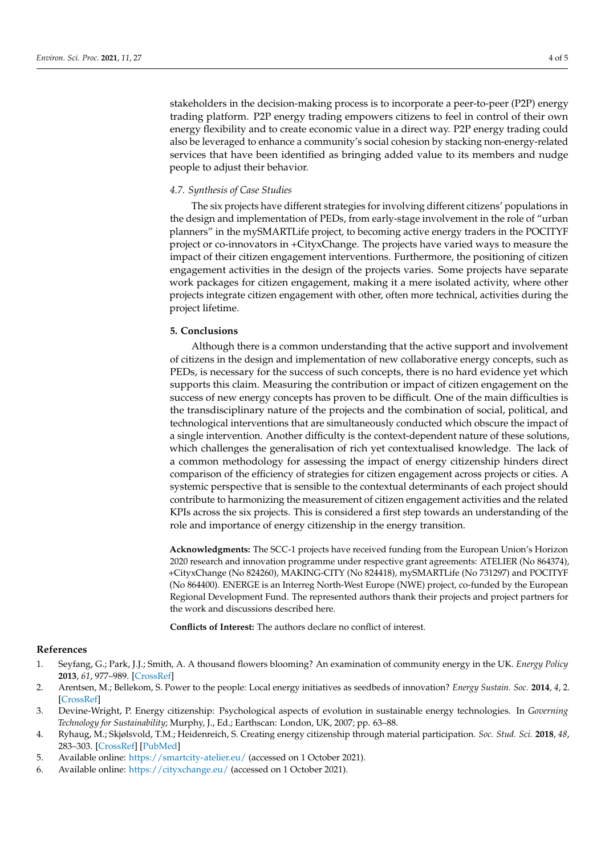stakeholders in the decision-making process is to incorporate a peer-to-peer (P2P) energy trading platform. P2P energy trading empowers citizens to feel in control of their own energy flexibility and to create economic value in a direct way. P2P energy trading could also be leveraged to enhance a community's social cohesion by stacking non-energy-related services that have been identified as bringing added value to its members and nudge people to adjust their behavior.

#### *4.7. Synthesis of Case Studies*

The six projects have different strategies for involving different citizens' populations in the design and implementation of PEDs, from early-stage involvement in the role of "urban planners" in the mySMARTLife project, to becoming active energy traders in the POCITYF project or co-innovators in +CityxChange. The projects have varied ways to measure the impact of their citizen engagement interventions. Furthermore, the positioning of citizen engagement activities in the design of the projects varies. Some projects have separate work packages for citizen engagement, making it a mere isolated activity, where other projects integrate citizen engagement with other, often more technical, activities during the project lifetime.

### **5. Conclusions**

Although there is a common understanding that the active support and involvement of citizens in the design and implementation of new collaborative energy concepts, such as PEDs, is necessary for the success of such concepts, there is no hard evidence yet which supports this claim. Measuring the contribution or impact of citizen engagement on the success of new energy concepts has proven to be difficult. One of the main difficulties is the transdisciplinary nature of the projects and the combination of social, political, and technological interventions that are simultaneously conducted which obscure the impact of a single intervention. Another difficulty is the context-dependent nature of these solutions, which challenges the generalisation of rich yet contextualised knowledge. The lack of a common methodology for assessing the impact of energy citizenship hinders direct comparison of the efficiency of strategies for citizen engagement across projects or cities. A systemic perspective that is sensible to the contextual determinants of each project should contribute to harmonizing the measurement of citizen engagement activities and the related KPIs across the six projects. This is considered a first step towards an understanding of the role and importance of energy citizenship in the energy transition.

**Acknowledgments:** The SCC-1 projects have received funding from the European Union's Horizon 2020 research and innovation programme under respective grant agreements: ATELIER (No 864374), +CityxChange (No 824260), MAKING-CITY (No 824418), mySMARTLife (No 731297) and POCITYF (No 864400). ENERGE is an Interreg North-West Europe (NWE) project, co-funded by the European Regional Development Fund. The represented authors thank their projects and project partners for the work and discussions described here.

**Conflicts of Interest:** The authors declare no conflict of interest.

### **References**

- <span id="page-3-0"></span>1. Seyfang, G.; Park, J.J.; Smith, A. A thousand flowers blooming? An examination of community energy in the UK. *Energy Policy* **2013**, *61*, 977–989. [\[CrossRef\]](http://doi.org/10.1016/j.enpol.2013.06.030)
- <span id="page-3-1"></span>2. Arentsen, M.; Bellekom, S. Power to the people: Local energy initiatives as seedbeds of innovation? *Energy Sustain. Soc.* **2014**, *4*, 2. [\[CrossRef\]](http://doi.org/10.1186/2192-0567-4-2)
- <span id="page-3-2"></span>3. Devine-Wright, P. Energy citizenship: Psychological aspects of evolution in sustainable energy technologies. In *Governing Technology for Sustainability*; Murphy, J., Ed.; Earthscan: London, UK, 2007; pp. 63–88.
- <span id="page-3-3"></span>4. Ryhaug, M.; Skjølsvold, T.M.; Heidenreich, S. Creating energy citizenship through material participation. *Soc. Stud. Sci.* **2018**, *48*, 283–303. [\[CrossRef\]](http://doi.org/10.1177/0306312718770286) [\[PubMed\]](http://www.ncbi.nlm.nih.gov/pubmed/29648504)
- <span id="page-3-4"></span>5. Available online: <https://smartcity-atelier.eu/> (accessed on 1 October 2021).
- <span id="page-3-5"></span>6. Available online: <https://cityxchange.eu/> (accessed on 1 October 2021).